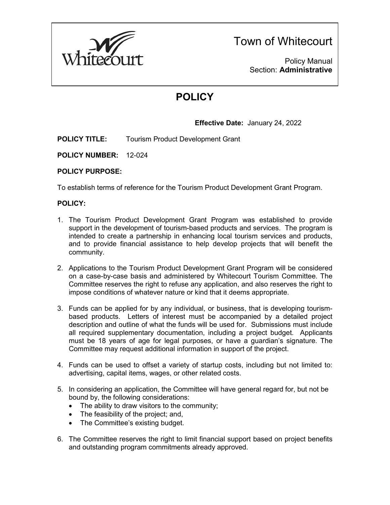

Town of Whitecourt

Policy Manual Section: **Administrative**

# **POLICY**

### **Effective Date:** January 24, 2022

**POLICY TITLE:** Tourism Product Development Grant

**POLICY NUMBER:** 12-024

#### **POLICY PURPOSE:**

To establish terms of reference for the Tourism Product Development Grant Program.

#### **POLICY:**

- 1. The Tourism Product Development Grant Program was established to provide support in the development of tourism-based products and services. The program is intended to create a partnership in enhancing local tourism services and products, and to provide financial assistance to help develop projects that will benefit the community.
- 2. Applications to the Tourism Product Development Grant Program will be considered on a case-by-case basis and administered by Whitecourt Tourism Committee. The Committee reserves the right to refuse any application, and also reserves the right to impose conditions of whatever nature or kind that it deems appropriate.
- 3. Funds can be applied for by any individual, or business, that is developing tourismbased products. Letters of interest must be accompanied by a detailed project description and outline of what the funds will be used for. Submissions must include all required supplementary documentation, including a project budget. Applicants must be 18 years of age for legal purposes, or have a guardian's signature. The Committee may request additional information in support of the project.
- 4. Funds can be used to offset a variety of startup costs, including but not limited to: advertising, capital items, wages, or other related costs.
- 5. In considering an application, the Committee will have general regard for, but not be bound by, the following considerations:
	- The ability to draw visitors to the community;
	- The feasibility of the project; and,
	- The Committee's existing budget.
- 6. The Committee reserves the right to limit financial support based on project benefits and outstanding program commitments already approved.